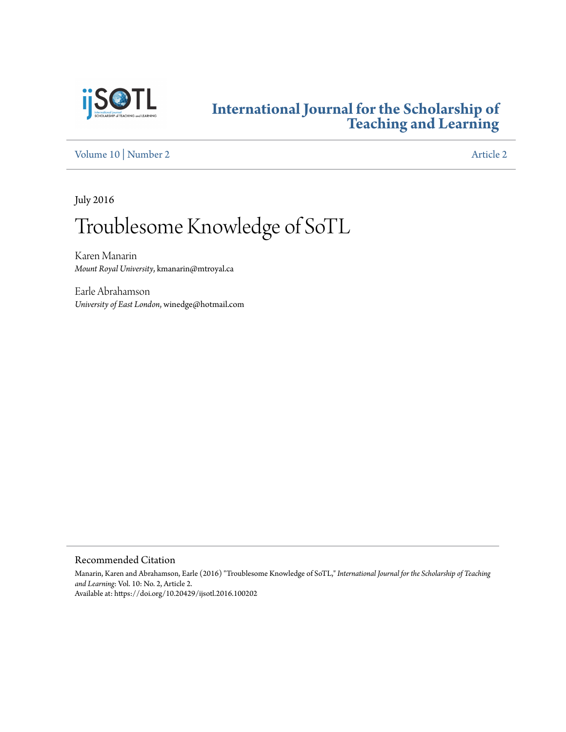

### **[International Journal for the Scholarship of](https://digitalcommons.georgiasouthern.edu/ij-sotl?utm_source=digitalcommons.georgiasouthern.edu%2Fij-sotl%2Fvol10%2Fiss2%2F2&utm_medium=PDF&utm_campaign=PDFCoverPages) [Teaching and Learning](https://digitalcommons.georgiasouthern.edu/ij-sotl?utm_source=digitalcommons.georgiasouthern.edu%2Fij-sotl%2Fvol10%2Fiss2%2F2&utm_medium=PDF&utm_campaign=PDFCoverPages)**

[Volume 10](https://digitalcommons.georgiasouthern.edu/ij-sotl/vol10?utm_source=digitalcommons.georgiasouthern.edu%2Fij-sotl%2Fvol10%2Fiss2%2F2&utm_medium=PDF&utm_campaign=PDFCoverPages) | [Number 2](https://digitalcommons.georgiasouthern.edu/ij-sotl/vol10/iss2?utm_source=digitalcommons.georgiasouthern.edu%2Fij-sotl%2Fvol10%2Fiss2%2F2&utm_medium=PDF&utm_campaign=PDFCoverPages) [Article 2](https://digitalcommons.georgiasouthern.edu/ij-sotl/vol10/iss2/2?utm_source=digitalcommons.georgiasouthern.edu%2Fij-sotl%2Fvol10%2Fiss2%2F2&utm_medium=PDF&utm_campaign=PDFCoverPages)

July 2016

# Troublesome Knowledge of SoTL

Karen Manarin *Mount Royal University*, kmanarin@mtroyal.ca

Earle Abrahamson *University of East London*, winedge@hotmail.com

Recommended Citation

Manarin, Karen and Abrahamson, Earle (2016) "Troublesome Knowledge of SoTL," *International Journal for the Scholarship of Teaching and Learning*: Vol. 10: No. 2, Article 2. Available at: https://doi.org/10.20429/ijsotl.2016.100202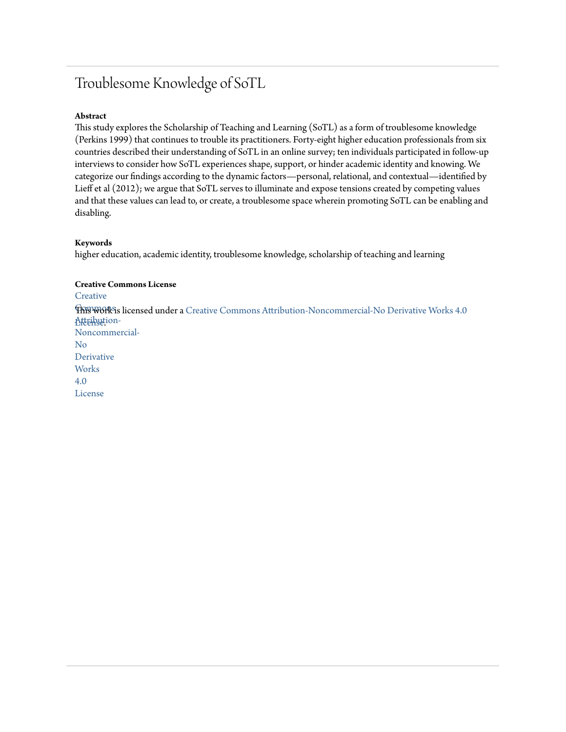## Troublesome Knowledge of SoTL

#### **Abstract**

This study explores the Scholarship of Teaching and Learning (SoTL) as a form of troublesome knowledge (Perkins 1999) that continues to trouble its practitioners. Forty-eight higher education professionals from six countries described their understanding of SoTL in an online survey; ten individuals participated in follow-up interviews to consider how SoTL experiences shape, support, or hinder academic identity and knowing. We categorize our findings according to the dynamic factors—personal, relational, and contextual—identified by Lieff et al (2012); we argue that SoTL serves to illuminate and expose tensions created by competing values and that these values can lead to, or create, a troublesome space wherein promoting SoTL can be enabling and disabling.

#### **Keywords**

higher education, academic identity, troublesome knowledge, scholarship of teaching and learning

#### **Creative Commons License**

**[Creative](https://creativecommons.org/licenses/by-nc-nd/4.0/)** 

 $\widehat{\text{TRFWOR}}$ is licensed under a [Creative Commons Attribution-Noncommercial-No Derivative Works 4.0](https://creativecommons.org/licenses/by-nc-nd/4.0/) Atternution-Noncommercial-

No Derivative **Works** 4.0

License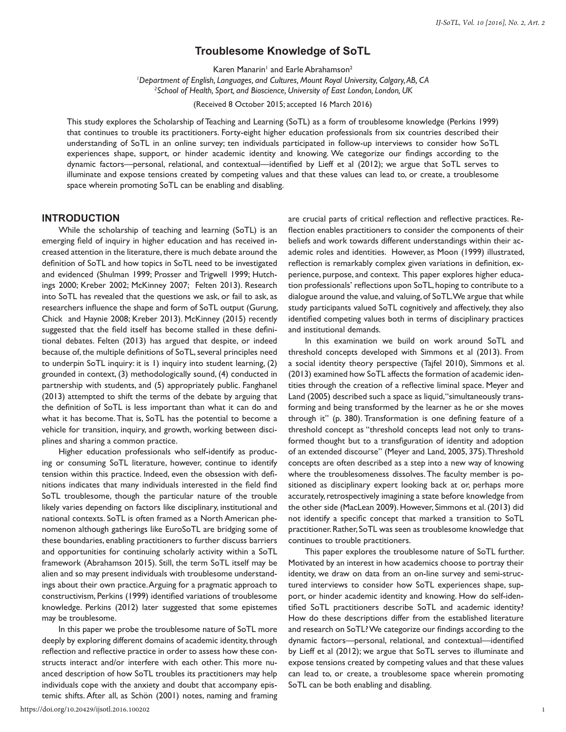#### **Troublesome Knowledge of SoTL**

Karen Manarin' and Earle Abrahamson $^2$ 

<sup>1</sup>Department of English, Languages, and Cultures, Mount Royal University, Calgary, AB, CA

*Department of English, Languages, and Cultures, Mount Royal University, Calgary, AB, CA 2School of Health, Sport, and Bioscience, University of East London, London, UK* 

(Received 8 October 2015; accepted 16 March 2016)

This study explores the Scholarship of Teaching and Learning (SoTL) as a form of troublesome knowledge (Perkins 1999) that continues to trouble its practitioners. Forty-eight higher education professionals from six countries described their understanding of SoTL in an online survey; ten individuals participated in follow-up interviews to consider how SoTL experiences shape, support, or hinder academic identity and knowing. We categorize our findings according to the dynamic factors—personal, relational, and contextual—identified by Lieff et al (2012); we argue that SoTL serves to illuminate and expose tensions created by competing values and that these values can lead to, or create, a troublesome space wherein promoting SoTL can be enabling and disabling.

#### **INTRODUCTION**

While the scholarship of teaching and learning (SoTL) is an emerging field of inquiry in higher education and has received increased attention in the literature, there is much debate around the definition of SoTL and how topics in SoTL need to be investigated and evidenced (Shulman 1999; Prosser and Trigwell 1999; Hutchings 2000; Kreber 2002; McKinney 2007; Felten 2013). Research into SoTL has revealed that the questions we ask, or fail to ask, as researchers influence the shape and form of SoTL output (Gurung, Chick and Haynie 2008; Kreber 2013). McKinney (2015) recently suggested that the field itself has become stalled in these definitional debates. Felten (2013) has argued that despite, or indeed because of, the multiple definitions of SoTL, several principles need to underpin SoTL inquiry: it is 1) inquiry into student learning, (2) grounded in context, (3) methodologically sound, (4) conducted in partnership with students, and (5) appropriately public. Fanghanel (2013) attempted to shift the terms of the debate by arguing that the definition of SoTL is less important than what it can do and what it has become. That is, SoTL has the potential to become a vehicle for transition, inquiry, and growth, working between disciplines and sharing a common practice.

Higher education professionals who self-identify as producing or consuming SoTL literature, however, continue to identify tension within this practice. Indeed, even the obsession with definitions indicates that many individuals interested in the field find SoTL troublesome, though the particular nature of the trouble likely varies depending on factors like disciplinary, institutional and national contexts. SoTL is often framed as a North American phenomenon although gatherings like EuroSoTL are bridging some of these boundaries, enabling practitioners to further discuss barriers and opportunities for continuing scholarly activity within a SoTL framework (Abrahamson 2015). Still, the term SoTL itself may be alien and so may present individuals with troublesome understandings about their own practice. Arguing for a pragmatic approach to constructivism, Perkins (1999) identified variations of troublesome knowledge. Perkins (2012) later suggested that some epistemes may be troublesome.

In this paper we probe the troublesome nature of SoTL more deeply by exploring different domains of academic identity, through reflection and reflective practice in order to assess how these constructs interact and/or interfere with each other. This more nuanced description of how SoTL troubles its practitioners may help individuals cope with the anxiety and doubt that accompany epistemic shifts. After all, as Schön (2001) notes, naming and framing

are crucial parts of critical reflection and reflective practices. Reflection enables practitioners to consider the components of their beliefs and work towards different understandings within their academic roles and identities. However, as Moon (1999) illustrated, reflection is remarkably complex given variations in definition, experience, purpose, and context. This paper explores higher education professionals' reflections upon SoTL, hoping to contribute to a dialogue around the value, and valuing, of SoTL. We argue that while study participants valued SoTL cognitively and affectively, they also identified competing values both in terms of disciplinary practices and institutional demands.

In this examination we build on work around SoTL and threshold concepts developed with Simmons et al (2013). From a social identity theory perspective (Tajfel 2010), Simmons et al. (2013) examined how SoTL affects the formation of academic identities through the creation of a reflective liminal space. Meyer and Land (2005) described such a space as liquid, "simultaneously transforming and being transformed by the learner as he or she moves through it" (p. 380). Transformation is one defining feature of a threshold concept as "threshold concepts lead not only to transformed thought but to a transfiguration of identity and adoption of an extended discourse" (Meyer and Land, 2005, 375). Threshold concepts are often described as a step into a new way of knowing where the troublesomeness dissolves. The faculty member is positioned as disciplinary expert looking back at or, perhaps more accurately, retrospectively imagining a state before knowledge from the other side (MacLean 2009). However, Simmons et al. (2013) did not identify a specific concept that marked a transition to SoTL practitioner. Rather, SoTL was seen as troublesome knowledge that continues to trouble practitioners.

This paper explores the troublesome nature of SoTL further. Motivated by an interest in how academics choose to portray their identity, we draw on data from an on-line survey and semi-structured interviews to consider how SoTL experiences shape, support, or hinder academic identity and knowing. How do self-identified SoTL practitioners describe SoTL and academic identity? How do these descriptions differ from the established literature and research on SoTL? We categorize our findings according to the dynamic factors—personal, relational, and contextual—identified by Lieff et al (2012); we argue that SoTL serves to illuminate and expose tensions created by competing values and that these values can lead to, or create, a troublesome space wherein promoting SoTL can be both enabling and disabling.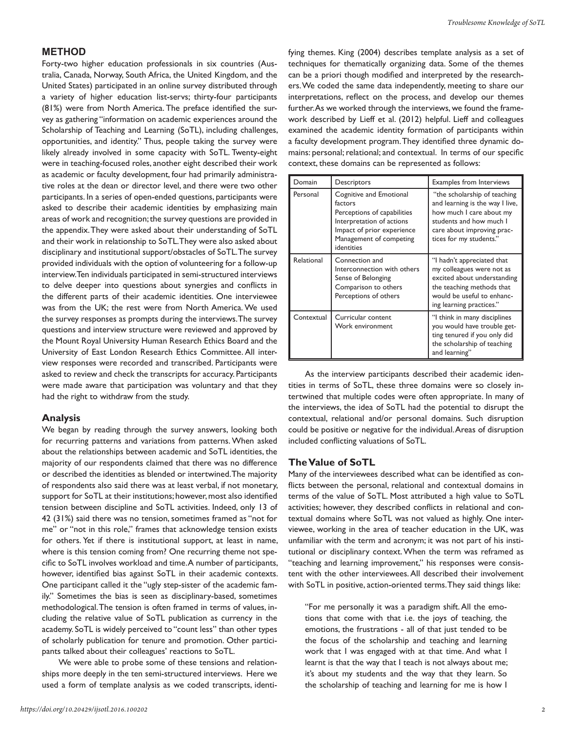#### *Troublesome Knowledge of SoTL*

#### **METHOD**

Forty-two higher education professionals in six countries (Australia, Canada, Norway, South Africa, the United Kingdom, and the United States) participated in an online survey distributed through a variety of higher education list-servs; thirty-four participants (81%) were from North America. The preface identified the survey as gathering "information on academic experiences around the Scholarship of Teaching and Learning (SoTL), including challenges, opportunities, and identity." Thus, people taking the survey were likely already involved in some capacity with SoTL. Twenty-eight were in teaching-focused roles, another eight described their work as academic or faculty development, four had primarily administrative roles at the dean or director level, and there were two other participants. In a series of open-ended questions, participants were asked to describe their academic identities by emphasizing main areas of work and recognition; the survey questions are provided in the appendix. They were asked about their understanding of SoTL and their work in relationship to SoTL. They were also asked about disciplinary and institutional support/obstacles of SoTL. The survey provided individuals with the option of volunteering for a follow-up interview. Ten individuals participated in semi-structured interviews to delve deeper into questions about synergies and conflicts in the different parts of their academic identities. One interviewee was from the UK; the rest were from North America. We used the survey responses as prompts during the interviews. The survey questions and interview structure were reviewed and approved by the Mount Royal University Human Research Ethics Board and the University of East London Research Ethics Committee. All interview responses were recorded and transcribed. Participants were asked to review and check the transcripts for accuracy. Participants were made aware that participation was voluntary and that they had the right to withdraw from the study.

#### **Analysis**

We began by reading through the survey answers, looking both for recurring patterns and variations from patterns. When asked about the relationships between academic and SoTL identities, the majority of our respondents claimed that there was no difference or described the identities as blended or intertwined. The majority of respondents also said there was at least verbal, if not monetary, support for SoTL at their institutions; however, most also identified tension between discipline and SoTL activities. Indeed, only 13 of 42 (31%) said there was no tension, sometimes framed as "not for me" or "not in this role," frames that acknowledge tension exists for others. Yet if there is institutional support, at least in name, where is this tension coming from? One recurring theme not specific to SoTL involves workload and time. A number of participants, however, identified bias against SoTL in their academic contexts. One participant called it the "ugly step-sister of the academic family." Sometimes the bias is seen as disciplinary-based, sometimes methodological. The tension is often framed in terms of values, including the relative value of SoTL publication as currency in the academy. SoTL is widely perceived to "count less" than other types of scholarly publication for tenure and promotion. Other participants talked about their colleagues' reactions to SoTL.

We were able to probe some of these tensions and relationships more deeply in the ten semi-structured interviews. Here we used a form of template analysis as we coded transcripts, identifying themes. King (2004) describes template analysis as a set of techniques for thematically organizing data. Some of the themes can be a priori though modified and interpreted by the researchers. We coded the same data independently, meeting to share our interpretations, reflect on the process, and develop our themes further. As we worked through the interviews, we found the framework described by Lieff et al. (2012) helpful. Lieff and colleagues examined the academic identity formation of participants within a faculty development program. They identified three dynamic domains: personal; relational; and contextual. In terms of our specific context, these domains can be represented as follows:

| Domain     | Descriptors                                                                                                                                                           | <b>Examples from Interviews</b>                                                                                                                                                 |
|------------|-----------------------------------------------------------------------------------------------------------------------------------------------------------------------|---------------------------------------------------------------------------------------------------------------------------------------------------------------------------------|
| Personal   | Cognitive and Emotional<br>factors<br>Perceptions of capabilities<br>Interpretation of actions<br>Impact of prior experience<br>Management of competing<br>identities | "the scholarship of teaching<br>and learning is the way I live,<br>how much I care about my<br>students and how much I<br>care about improving prac-<br>tices for my students." |
| Relational | Connection and<br>Interconnection with others<br>Sense of Belonging<br>Comparison to others<br>Perceptions of others                                                  | "I hadn't appreciated that<br>my colleagues were not as<br>excited about understanding<br>the teaching methods that<br>would be useful to enhanc-<br>ing learning practices."   |
| Contextual | Curricular content<br>Work environment                                                                                                                                | "I think in many disciplines<br>you would have trouble get-<br>ting tenured if you only did<br>the scholarship of teaching<br>and learning"                                     |

As the interview participants described their academic identities in terms of SoTL, these three domains were so closely intertwined that multiple codes were often appropriate. In many of the interviews, the idea of SoTL had the potential to disrupt the contextual, relational and/or personal domains. Such disruption could be positive or negative for the individual. Areas of disruption included conflicting valuations of SoTL.

#### **The Value of SoTL**

Many of the interviewees described what can be identified as conflicts between the personal, relational and contextual domains in terms of the value of SoTL. Most attributed a high value to SoTL activities; however, they described conflicts in relational and contextual domains where SoTL was not valued as highly. One interviewee, working in the area of teacher education in the UK, was unfamiliar with the term and acronym; it was not part of his institutional or disciplinary context. When the term was reframed as "teaching and learning improvement," his responses were consistent with the other interviewees. All described their involvement with SoTL in positive, action-oriented terms. They said things like:

"For me personally it was a paradigm shift. All the emotions that come with that i.e. the joys of teaching, the emotions, the frustrations - all of that just tended to be the focus of the scholarship and teaching and learning work that I was engaged with at that time. And what I learnt is that the way that I teach is not always about me; it's about my students and the way that they learn. So the scholarship of teaching and learning for me is how I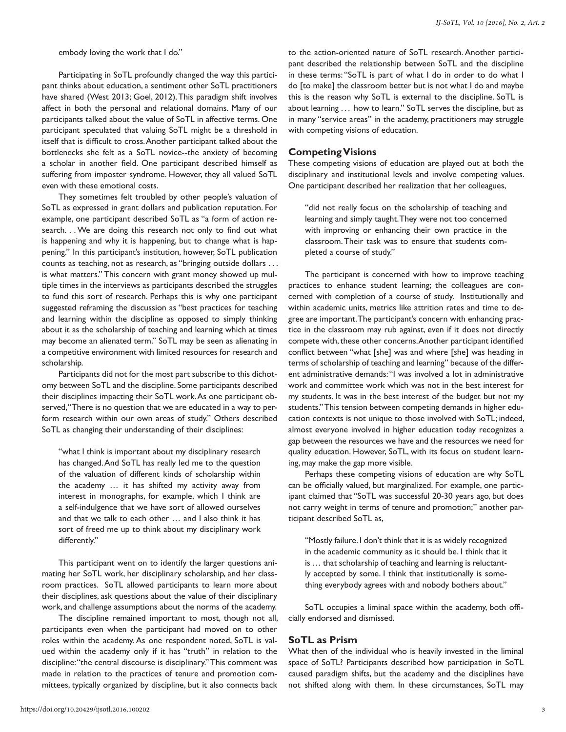embody loving the work that I do."

Participating in SoTL profoundly changed the way this participant thinks about education, a sentiment other SoTL practitioners have shared (West 2013; Goel, 2012). This paradigm shift involves affect in both the personal and relational domains. Many of our participants talked about the value of SoTL in affective terms. One participant speculated that valuing SoTL might be a threshold in itself that is difficult to cross. Another participant talked about the bottlenecks she felt as a SoTL novice--the anxiety of becoming a scholar in another field. One participant described himself as suffering from imposter syndrome. However, they all valued SoTL even with these emotional costs.

They sometimes felt troubled by other people's valuation of SoTL as expressed in grant dollars and publication reputation. For example, one participant described SoTL as "a form of action research. . . We are doing this research not only to find out what is happening and why it is happening, but to change what is happening." In this participant's institution, however, SoTL publication counts as teaching, not as research, as "bringing outside dollars . . . is what matters." This concern with grant money showed up multiple times in the interviews as participants described the struggles to fund this sort of research. Perhaps this is why one participant suggested reframing the discussion as "best practices for teaching and learning within the discipline as opposed to simply thinking about it as the scholarship of teaching and learning which at times may become an alienated term." SoTL may be seen as alienating in a competitive environment with limited resources for research and scholarship.

Participants did not for the most part subscribe to this dichotomy between SoTL and the discipline. Some participants described their disciplines impacting their SoTL work. As one participant observed, "There is no question that we are educated in a way to perform research within our own areas of study." Others described SoTL as changing their understanding of their disciplines:

"what I think is important about my disciplinary research has changed. And SoTL has really led me to the question of the valuation of different kinds of scholarship within the academy … it has shifted my activity away from interest in monographs, for example, which I think are a self-indulgence that we have sort of allowed ourselves and that we talk to each other … and I also think it has sort of freed me up to think about my disciplinary work differently."

This participant went on to identify the larger questions animating her SoTL work, her disciplinary scholarship, and her classroom practices. SoTL allowed participants to learn more about their disciplines, ask questions about the value of their disciplinary work, and challenge assumptions about the norms of the academy.

The discipline remained important to most, though not all, participants even when the participant had moved on to other roles within the academy. As one respondent noted, SoTL is valued within the academy only if it has "truth" in relation to the discipline: "the central discourse is disciplinary." This comment was made in relation to the practices of tenure and promotion committees, typically organized by discipline, but it also connects back

to the action-oriented nature of SoTL research. Another participant described the relationship between SoTL and the discipline in these terms: "SoTL is part of what I do in order to do what I do [to make] the classroom better but is not what I do and maybe this is the reason why SoTL is external to the discipline. SoTL is about learning . . . how to learn." SoTL serves the discipline, but as in many "service areas" in the academy, practitioners may struggle with competing visions of education.

#### **Competing Visions**

These competing visions of education are played out at both the disciplinary and institutional levels and involve competing values. One participant described her realization that her colleagues,

"did not really focus on the scholarship of teaching and learning and simply taught. They were not too concerned with improving or enhancing their own practice in the classroom. Their task was to ensure that students completed a course of study."

The participant is concerned with how to improve teaching practices to enhance student learning; the colleagues are concerned with completion of a course of study. Institutionally and within academic units, metrics like attrition rates and time to degree are important. The participant's concern with enhancing practice in the classroom may rub against, even if it does not directly compete with, these other concerns. Another participant identified conflict between "what [she] was and where [she] was heading in terms of scholarship of teaching and learning" because of the different administrative demands: "I was involved a lot in administrative work and committee work which was not in the best interest for my students. It was in the best interest of the budget but not my students." This tension between competing demands in higher education contexts is not unique to those involved with SoTL; indeed, almost everyone involved in higher education today recognizes a gap between the resources we have and the resources we need for quality education. However, SoTL, with its focus on student learning, may make the gap more visible.

Perhaps these competing visions of education are why SoTL can be officially valued, but marginalized. For example, one participant claimed that "SoTL was successful 20-30 years ago, but does not carry weight in terms of tenure and promotion;" another participant described SoTL as,

"Mostly failure. I don't think that it is as widely recognized in the academic community as it should be. I think that it is … that scholarship of teaching and learning is reluctantly accepted by some. I think that institutionally is something everybody agrees with and nobody bothers about."

SoTL occupies a liminal space within the academy, both officially endorsed and dismissed.

#### **SoTL as Prism**

What then of the individual who is heavily invested in the liminal space of SoTL? Participants described how participation in SoTL caused paradigm shifts, but the academy and the disciplines have not shifted along with them. In these circumstances, SoTL may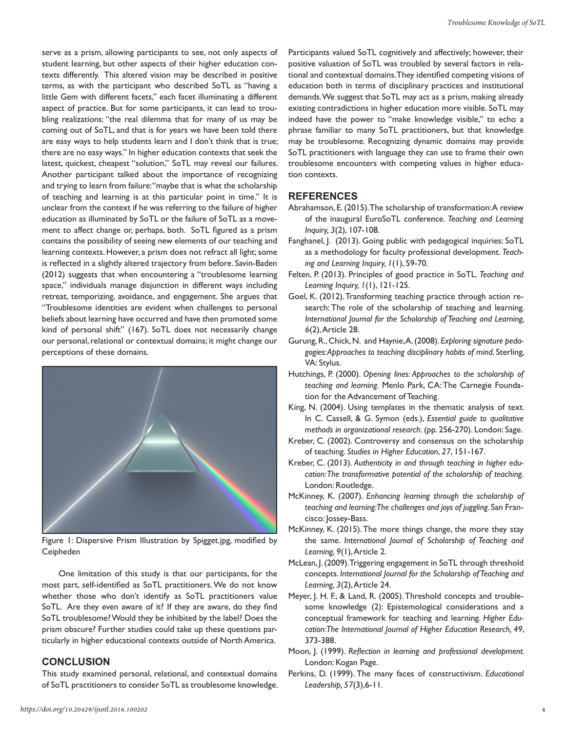serve as a prism, allowing participants to see, not only aspects of student learning, but other aspects of their higher education contexts differently. This altered vision may be described in positive terms, as with the participant who described SoTL as "having a little Gem with different facets," each facet illuminating a different aspect of practice. But for some participants, it can lead to troubling realizations: "the real dilemma that for many of us may be coming out of SoTL, and that is for years we have been told there are easy ways to help students learn and I don't think that is true; there are no easy ways." In higher education contexts that seek the latest, quickest, cheapest "solution," SoTL may reveal our failures. Another participant talked about the importance of recognizing and trying to learn from failure: "maybe that is what the scholarship of teaching and learning is at this particular point in time." It is unclear from the context if he was referring to the failure of higher education as illuminated by SoTL or the failure of SoTL as a movement to affect change or, perhaps, both. SoTL figured as a prism contains the possibility of seeing new elements of our teaching and learning contexts. However, a prism does not refract all light; some is reflected in a slightly altered trajectory from before. Savin-Baden (2012) suggests that when encountering a "troublesome learning space," individuals manage disjunction in different ways including retreat, temporizing, avoidance, and engagement. She argues that "Troublesome identities are evident when challenges to personal beliefs about learning have occurred and have then promoted some kind of personal shift" (167). SoTL does not necessarily change our personal, relational or contextual domains; it might change our perceptions of these domains.



Figure 1: Dispersive Prism Illustration by Spigget.jpg, modified by Ceipheden

One limitation of this study is that our participants, for the most part, self-identified as SoTL practitioners. We do not know whether those who don't identify as SoTL practitioners value SoTL. Are they even aware of it? If they are aware, do they find SoTL troublesome? Would they be inhibited by the label? Does the prism obscure? Further studies could take up these questions particularly in higher educational contexts outside of North America.

#### **CONCLUSION**

This study examined personal, relational, and contextual domains of SoTL practitioners to consider SoTL as troublesome knowledge. Participants valued SoTL cognitively and affectively; however, their positive valuation of SoTL was troubled by several factors in relational and contextual domains. They identified competing visions of education both in terms of disciplinary practices and institutional demands. We suggest that SoTL may act as a prism, making already existing contradictions in higher education more visible. SoTL may indeed have the power to "make knowledge visible," to echo a phrase familiar to many SoTL practitioners, but that knowledge may be troublesome. Recognizing dynamic domains may provide SoTL practitioners with language they can use to frame their own troublesome encounters with competing values in higher education contexts.

#### **REFERENCES**

- Abrahamson, E. (2015). The scholarship of transformation: A review of the inaugural EuroSoTL conference. *Teaching and Learning Inquiry, 3*(2), 107-108.
- Fanghanel, J. (2013). Going public with pedagogical inquiries: SoTL as a methodology for faculty professional development. *Teaching and Learning Inquiry, 1*(1), 59-70.
- Felten, P. (2013). Principles of good practice in SoTL. *Teaching and Learning Inquiry, 1*(1), 121-125.
- Goel, K. (2012). Transforming teaching practice through action research: The role of the scholarship of teaching and learning. *International Journal for the Scholarship of Teaching and Learning, 6*(2), Article 28.
- Gurung, R., Chick, N. and Haynie, A. (2008). *Exploring signature pedagogies: Approaches to teaching disciplinary habits of mind.* Sterling, VA: Stylus.
- Hutchings, P. (2000). *Opening lines: Approaches to the scholarship of teaching and learning.* Menlo Park, CA: The Carnegie Foundation for the Advancement of Teaching.
- King, N. (2004). Using templates in the thematic analysis of text. In C. Cassell, & G. Symon (eds.), *Essential guide to qualitative methods in organizational research*. (pp. 256-270). London: Sage.
- Kreber, C. (2002). Controversy and consensus on the scholarship of teaching. *Studies in Higher Education*, *27*, 151-167.
- Kreber, C. (2013). *Authenticity in and through teaching in higher education: The transformative potential of the scholarship of teaching.* London: Routledge.
- McKinney, K. (2007). *Enhancing learning through the scholarship of teaching and learning: The challenges and joys of juggling*. San Francisco: Jossey-Bass.
- McKinney, K. (2015). The more things change, the more they stay the same. *International Journal of Scholarship of Teaching and Learning, 9*(1), Article 2.
- McLean, J. (2009). Triggering engagement in SoTL through threshold concepts. *International Journal for the Scholarship of Teaching and Learning, 3*(2), Article 24.
- Meyer, J. H. F., & Land, R. (2005). Threshold concepts and troublesome knowledge (2): Epistemological considerations and a conceptual framework for teaching and learning. *Higher Education:The International Journal of Higher Education Research, 49*, 373-388.
- Moon, J. (1999). *Reflection in learning and professional development.*  London: Kogan Page.
- Perkins, D. (1999). The many faces of constructivism. *Educational Leadership, 57*(3),6-11.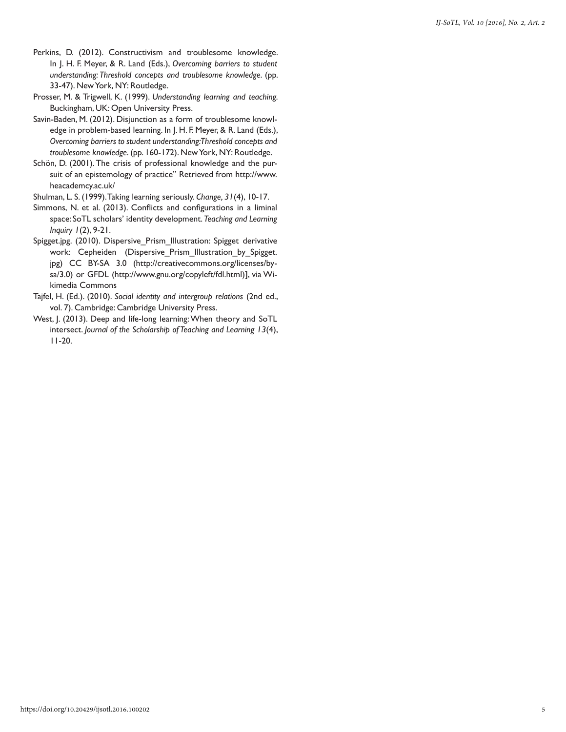- Perkins, D. (2012). Constructivism and troublesome knowledge. In J. H. F. Meyer, & R. Land (Eds.), *Overcoming barriers to student understanding: Threshold concepts and troublesome knowledge*. (pp. 33-47). New York, NY: Routledge.
- Prosser, M. & Trigwell, K. (1999). *Understanding learning and teaching.*  Buckingham, UK: Open University Press.
- Savin-Baden, M. (2012). Disjunction as a form of troublesome knowledge in problem-based learning. In J. H. F. Meyer, & R. Land (Eds.), *Overcoming barriers to student understanding: Threshold concepts and troublesome knowledge*. (pp. 160-172). New York, NY: Routledge.
- Schön, D. (2001). The crisis of professional knowledge and the pursuit of an epistemology of practice" Retrieved from http://www. heacademcy.ac.uk/

Shulman, L. S. (1999). Taking learning seriously. *Change, 31*(4), 10-17.

- Simmons, N. et al. (2013). Conflicts and configurations in a liminal space: SoTL scholars' identity development. *Teaching and Learning Inquiry 1*(2), 9-21.
- Spigget.jpg. (2010). Dispersive\_Prism\_Illustration: Spigget derivative work: Cepheiden (Dispersive\_Prism\_Illustration\_by\_Spigget. jpg) CC BY-SA 3.0 (http://creativecommons.org/licenses/bysa/3.0) or GFDL (http://www.gnu.org/copyleft/fdl.html)], via Wikimedia Commons
- Tajfel, H. (Ed.). (2010). *Social identity and intergroup relations* (2nd ed., vol. 7). Cambridge: Cambridge University Press.
- West, J. (2013). Deep and life-long learning: When theory and SoTL intersect. *Journal of the Scholarship of Teaching and Learning 13*(4), 11-20.